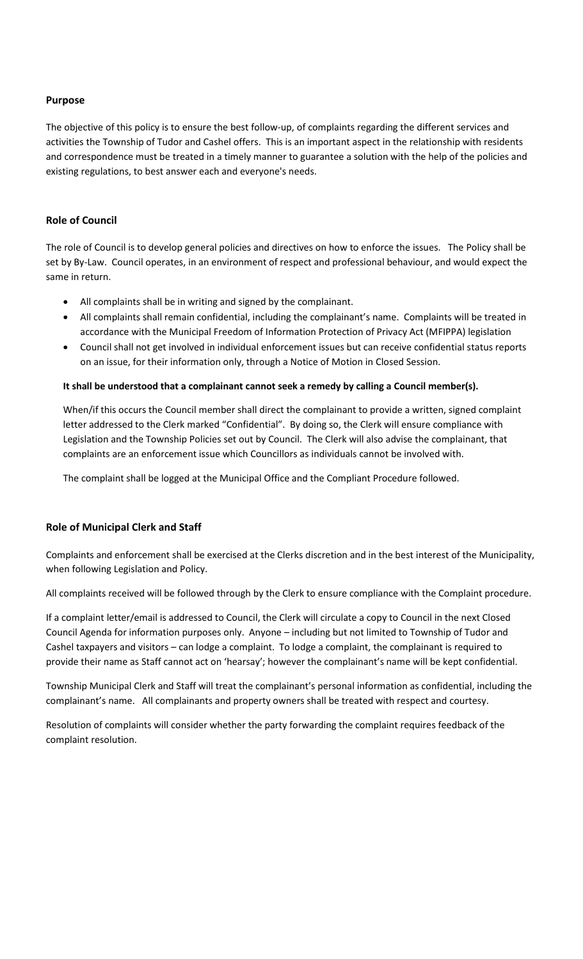# **Purpose**

The objective of this policy is to ensure the best follow-up, of complaints regarding the different services and activities the Township of Tudor and Cashel offers. This is an important aspect in the relationship with residents and correspondence must be treated in a timely manner to guarantee a solution with the help of the policies and existing regulations, to best answer each and everyone's needs.

## **Role of Council**

The role of Council is to develop general policies and directives on how to enforce the issues. The Policy shall be set by By-Law. Council operates, in an environment of respect and professional behaviour, and would expect the same in return.

- All complaints shall be in writing and signed by the complainant.
- All complaints shall remain confidential, including the complainant's name. Complaints will be treated in accordance with the Municipal Freedom of Information Protection of Privacy Act (MFIPPA) legislation
- Council shall not get involved in individual enforcement issues but can receive confidential status reports on an issue, for their information only, through a Notice of Motion in Closed Session.

### **It shall be understood that a complainant cannot seek a remedy by calling a Council member(s).**

When/if this occurs the Council member shall direct the complainant to provide a written, signed complaint letter addressed to the Clerk marked "Confidential". By doing so, the Clerk will ensure compliance with Legislation and the Township Policies set out by Council. The Clerk will also advise the complainant, that complaints are an enforcement issue which Councillors as individuals cannot be involved with.

The complaint shall be logged at the Municipal Office and the Compliant Procedure followed.

# **Role of Municipal Clerk and Staff**

Complaints and enforcement shall be exercised at the Clerks discretion and in the best interest of the Municipality, when following Legislation and Policy.

All complaints received will be followed through by the Clerk to ensure compliance with the Complaint procedure.

If a complaint letter/email is addressed to Council, the Clerk will circulate a copy to Council in the next Closed Council Agenda for information purposes only. Anyone – including but not limited to Township of Tudor and Cashel taxpayers and visitors – can lodge a complaint. To lodge a complaint, the complainant is required to provide their name as Staff cannot act on 'hearsay'; however the complainant's name will be kept confidential.

Township Municipal Clerk and Staff will treat the complainant's personal information as confidential, including the complainant's name. All complainants and property owners shall be treated with respect and courtesy.

Resolution of complaints will consider whether the party forwarding the complaint requires feedback of the complaint resolution.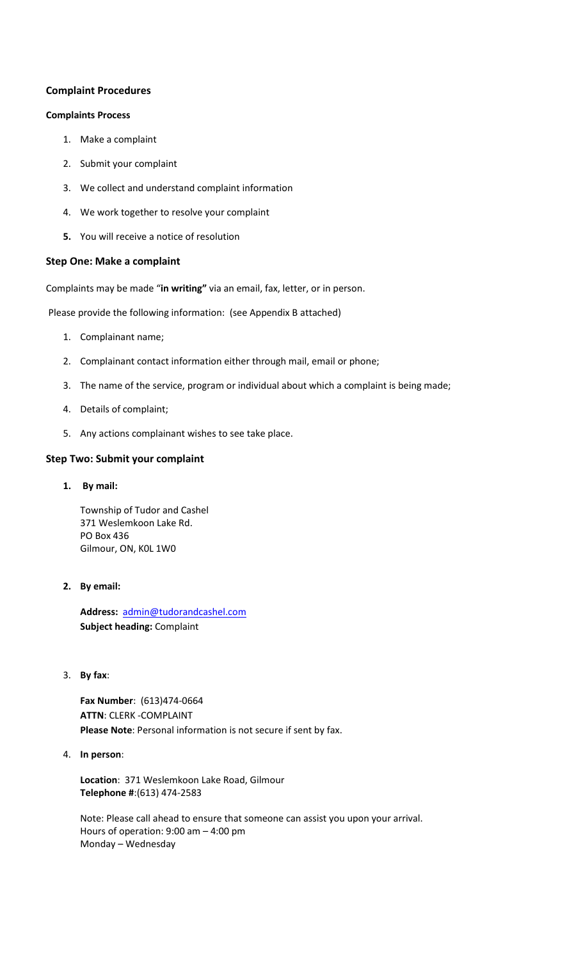# **Complaint Procedures**

### **Complaints Process**

- 1. Make a complaint
- 2. Submit your complaint
- 3. We collect and understand complaint information
- 4. We work together to resolve your complaint
- **5.** You will receive a notice of resolution

### **Step One: Make a complaint**

Complaints may be made "**in writing"** via an email, fax, letter, or in person.

Please provide the following information: (see Appendix B attached)

- 1. Complainant name;
- 2. Complainant contact information either through mail, email or phone;
- 3. The name of the service, program or individual about which a complaint is being made;
- 4. Details of complaint;
- 5. Any actions complainant wishes to see take place.

# **Step Two: Submit your complaint**

**1. By mail:**

Township of Tudor and Cashel 371 Weslemkoon Lake Rd. PO Box 436 Gilmour, ON, K0L 1W0

### **2. By email:**

**Address:** [admin@tudorandcashel.com](mailto:admin@tudorandcashel.com) **Subject heading:** Complaint

3. **By fax**:

**Fax Number**: (613)474-0664 **ATTN**: CLERK -COMPLAINT **Please Note**: Personal information is not secure if sent by fax.

4. **In person**:

**Location**: 371 Weslemkoon Lake Road, Gilmour **Telephone #**:(613) 474-2583

Note: Please call ahead to ensure that someone can assist you upon your arrival. Hours of operation: 9:00 am – 4:00 pm Monday – Wednesday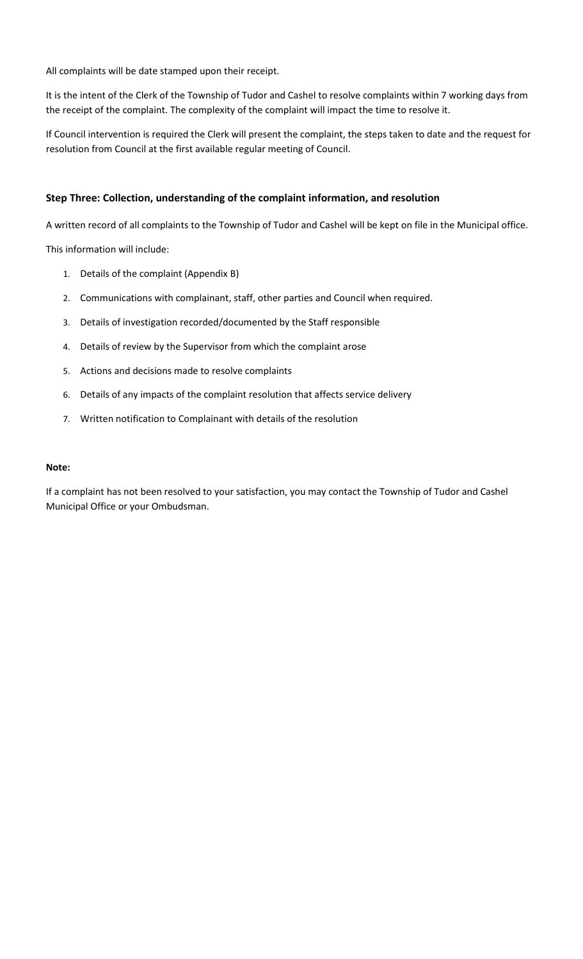All complaints will be date stamped upon their receipt.

It is the intent of the Clerk of the Township of Tudor and Cashel to resolve complaints within 7 working days from the receipt of the complaint. The complexity of the complaint will impact the time to resolve it.

If Council intervention is required the Clerk will present the complaint, the steps taken to date and the request for resolution from Council at the first available regular meeting of Council.

# **Step Three: Collection, understanding of the complaint information, and resolution**

A written record of all complaints to the Township of Tudor and Cashel will be kept on file in the Municipal office.

This information will include:

- 1. Details of the complaint (Appendix B)
- 2. Communications with complainant, staff, other parties and Council when required.
- 3. Details of investigation recorded/documented by the Staff responsible
- 4. Details of review by the Supervisor from which the complaint arose
- 5. Actions and decisions made to resolve complaints
- 6. Details of any impacts of the complaint resolution that affects service delivery
- 7. Written notification to Complainant with details of the resolution

#### **Note:**

If a complaint has not been resolved to your satisfaction, you may contact the Township of Tudor and Cashel Municipal Office or your Ombudsman.